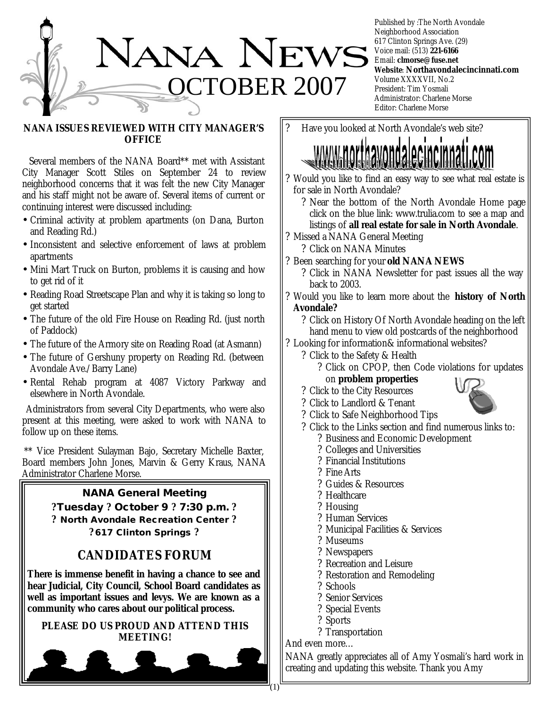

Published by :The North Avondale Neighborhood Association 617 Clinton Springs Ave. (29) Voice mail: (513) **221-6166** Email: **clmorse@fuse.net Website**: **Northavondalecincinnati.com** Volume XXXXVII, No.2 President: Tim Yosmali Administrator: Charlene Morse Editor: Charlene Morse

### **NANA ISSUES REVIEWED WITH CITY MANAGER'S OFFICE**

 Several members of the NANA Board\*\* met with Assistant City Manager Scott Stiles on September 24 to review neighborhood concerns that it was felt the new City Manager and his staff might not be aware of. Several items of current or continuing interest were discussed including:

- Criminal activity at problem apartments (on Dana, Burton and Reading Rd.)
- Inconsistent and selective enforcement of laws at problem apartments
- Mini Mart Truck on Burton, problems it is causing and how to get rid of it
- Reading Road Streetscape Plan and why it is taking so long to get started
- The future of the old Fire House on Reading Rd. (just north of Paddock)
- The future of the Armory site on Reading Road (at Asmann)
- The future of Gershuny property on Reading Rd. (between Avondale Ave./Barry Lane)
- Rental Rehab program at 4087 Victory Parkway and elsewhere in North Avondale.

 Administrators from several City Departments, who were also present at this meeting, were asked to work with NANA to follow up on these items.

\*\* Vice President Sulayman Bajo, Secretary Michelle Baxter, Board members John Jones, Marvin & Gerry Kraus, NANA Administrator Charlene Morse.

# **NANA General Meeting**

**?Tuesday ? October 9 ? 7:30 p.m. ? ? North Avondale Recreation Center ? ? 617 Clinton Springs ?**

# **CANDIDATES FORUM**

**There is immense benefit in having a chance to see and hear Judicial, City Council, School Board candidates as well as important issues and levys. We are known as a community who cares about our political process.** 

**PLEASE DO US PROUD AND ATTEND THIS MEETING!**



? Have you looked at North Avondale's web site?

- ? Would you like to find an easy way to see what real estate is for sale in North Avondale?
	- ? Near the bottom of the North Avondale Home page click on the blue link: www.trulia.com to see a map and listings of **all real estate for sale in North Avondale**.
- ? Missed a NANA General Meeting
	- ? Click on NANA Minutes
- ? Been searching for your **old NANA NEWS**
	- ? Click in NANA Newsletter for past issues all the way back to 2003.
- ? Would you like to learn more about the **history of North Avondale?**

? Click on History Of North Avondale heading on the left hand menu to view old postcards of the neighborhood

- ? Looking for information& informational websites?
	- ? Click to the Safety & Health
		- ? Click on CPOP, then Code violations for updates on **problem properties**
	- ? Click to the City Resources



- ? Click to Landlord & Tenant
- ? Click to Safe Neighborhood Tips
- ? Click to the Links section and find numerous links to: ? Business and Economic Development
	- ? Colleges and Universities
	- ? Financial Institutions
	- ? Fine Arts
	- ? Guides & Resources
	- ? Healthcare
	- ? Housing
	- ? Human Services
	- ? Municipal Facilities & Services
	- ? Museums
	- ? Newspapers
	- ? Recreation and Leisure
	- ? Restoration and Remodeling
	- ? Schools
	- ? Senior Services
	- ? Special Events
	- ? Sports
	- ? Transportation

And even more…

NANA greatly appreciates all of Amy Yosmali's hard work in creating and updating this website. Thank you Amy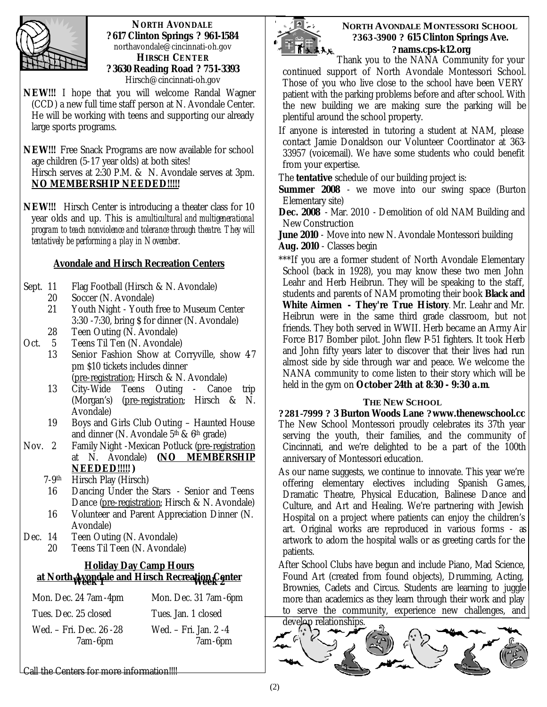

**NORTH AVONDALE ? 617 Clinton Springs ? 961-1584**  northavondale@cincinnati-oh.gov **HIRSCH CENTER ? 3630 Reading Road ? 751-3393** Hirsch@cincinnati-oh.gov

**NEW!!!** I hope that you will welcome Randal Wagner (CCD) a new full time staff person at N. Avondale Center. He will be working with teens and supporting our already large sports programs.

**NEW!!!** Free Snack Programs are now available for school age children (5-17 year olds) at both sites! Hirsch serves at 2:30 P.M. & N. Avondale serves at 3pm. **NO MEMBERSHIP NEEDED!!!!!**

**NEW!!!** Hirsch Center is introducing a theater class for 10 year olds and up. This is a *multicultural and multigenerational program to teach nonviolence and tolerance through theatre. They will tentatively be performing a play in November.*

### **Avondale and Hirsch Recreation Centers**

- Sept. 11 Flag Football (Hirsch & N. Avondale)
	- 20 Soccer (N. Avondale)
	- 21 Youth Night Youth free to Museum Center 3:30 -7:30, bring \$ for dinner (N. Avondale)
	- 28 Teen Outing (N. Avondale)
- Oct. 5 Teens Til Ten (N. Avondale)
	- 13 Senior Fashion Show at Corryville, show 47 pm \$10 tickets includes dinner (pre-registration; Hirsch & N. Avondale)
	- 13 City-Wide Teens Outing Canoe trip (Morgan's) (pre-registration; Hirsch & N. Avondale)
	- 19 Boys and Girls Club Outing Haunted House and dinner (N. Avondale  $5<sup>th</sup>$  &  $6<sup>th</sup>$  grade)
- Nov. 2 Family Night -Mexican Potluck (pre-registration at N. Avondale) **(NO MEMBERSHIP NEEDED!!!!! )**
	- 7-9 Hirsch Play (Hirsch)
	- 16 Dancing Under the Stars Senior and Teens Dance (pre-registration; Hirsch & N. Avondale)
	- 16 Volunteer and Parent Appreciation Dinner (N. Avondale)
- Dec. 14 Teen Outing (N. Avondale)
	- 20 Teens Til Teen (N. Avondale)

# **Holiday Day Camp Hours at North Avondale and Hirsch Recreation Center Week 1 Week 2**

| Mon. Dec. 24 7am - 4pm  | Mon. Dec. 31 7am - 6pm |
|-------------------------|------------------------|
| Tues. Dec. 25 closed    | Tues. Jan. 1 closed    |
| Wed. – Fri. Dec. 26 -28 | Wed. – Fri. Jan. 2 -4  |
| 7am-6pm                 | 7am-6pm                |

Call the Centers for more information!!!!



#### **NORTH AVONDALE MONTESSORI SCHOOL ?363-3900 ? 615 Clinton Springs Ave. ?nams.cps-k12.org**

Thank you to the NANA Community for your continued support of North Avondale Montessori School. Those of you who live close to the school have been VERY patient with the parking problems before and after school. With the new building we are making sure the parking will be plentiful around the school property.

If anyone is interested in tutoring a student at NAM, please contact Jamie Donaldson our Volunteer Coordinator at 363- 33957 (voicemail). We have some students who could benefit from your expertise.

The **tentative** schedule of our building project is:

**Summer 2008** - we move into our swing space (Burton Elementary site)

**Dec. 2008** - Mar. 2010 - Demolition of old NAM Building and New Construction

**June 2010** - Move into new N. Avondale Montessori building **Aug. 2010** - Classes begin

\*\*\*If you are a former student of North Avondale Elementary School (back in 1928), you may know these two men John Leahr and Herb Heibrun. They will be speaking to the staff, students and parents of NAM promoting their book *Black and White Airmen - They're True History.* Mr. Leahr and Mr. Heibrun were in the same third grade classroom, but not friends. They both served in WWII. Herb became an Army Air Force B17 Bomber pilot. John flew P-51 fighters. It took Herb and John fifty years later to discover that their lives had run almost side by side through war and peace. We welcome the NANA community to come listen to their story which will be held in the gym on **October 24th at 8:30 - 9:30 a.m**.

#### **THE NEW SCHOOL**

**?281-7999 ? 3 Burton Woods Lane ?www.thenewschool.cc** The New School Montessori proudly celebrates its 37th year serving the youth, their families, and the community of Cincinnati, and we're delighted to be a part of the 100th anniversary of Montessori education.

As our name suggests, we continue to innovate. This year we're offering elementary electives including Spanish Games, Dramatic Theatre, Physical Education, Balinese Dance and Culture, and Art and Healing. We're partnering with Jewish Hospital on a project where patients can enjoy the children's art. Original works are reproduced in various forms - as artwork to adorn the hospital walls or as greeting cards for the patients.

After School Clubs have begun and include Piano, Mad Science, Found Art (created from found objects), Drumming, Acting, Brownies, Cadets and Circus. Students are learning to juggle more than academics as they learn through their work and play to serve the community, experience new challenges, and

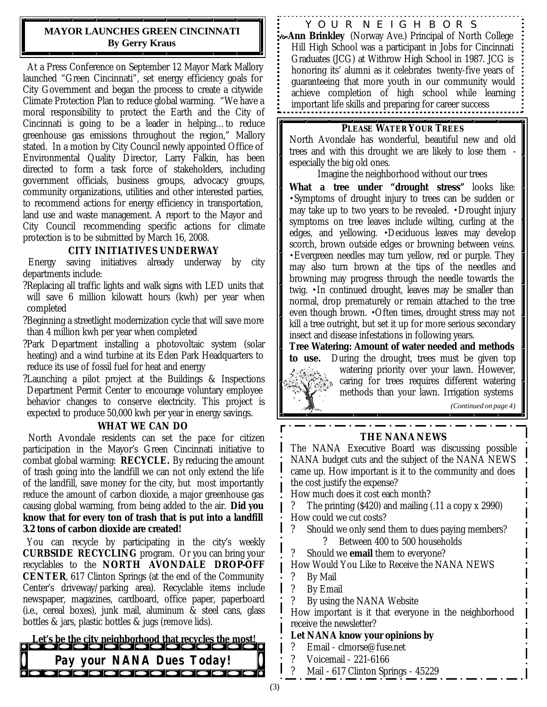### **MAYOR LAUNCHES GREEN CINCINNATI By Gerry Kraus**

At a Press Conference on September 12 Mayor Mark Mallory launched "Green Cincinnati", set energy efficiency goals for City Government and began the process to create a citywide Climate Protection Plan to reduce global warming. "We have a moral responsibility to protect the Earth and the City of Cincinnati is going to be a leader in helping…to reduce greenhouse gas emissions throughout the region," Mallory stated. In a motion by City Council newly appointed Office of Environmental Quality Director, Larry Falkin, has been directed to form a task force of stakeholders, including government officials, business groups, advocacy groups, community organizations, utilities and other interested parties, to recommend actions for energy efficiency in transportation, land use and waste management. A report to the Mayor and City Council recommending specific actions for climate protection is to be submitted by March 16, 2008.

### **CITY INITIATIVES UNDERWAY**

 Energy saving initiatives already underway by city departments include:

- ?Replacing all traffic lights and walk signs with LED units that will save 6 million kilowatt hours (kwh) per year when completed
- ?Beginning a streetlight modernization cycle that will save more than 4 million kwh per year when completed
- ?Park Department installing a photovoltaic system (solar heating) and a wind turbine at its Eden Park Headquarters to reduce its use of fossil fuel for heat and energy
- ?Launching a pilot project at the Buildings & Inspections Department Permit Center to encourage voluntary employee behavior changes to conserve electricity. This project is expected to produce 50,000 kwh per year in energy savings.

#### **WHAT WE CAN DO**

 North Avondale residents can set the pace for citizen participation in the Mayor's Green Cincinnati initiative to combat global warming: **RECYCLE.** By reducing the amount of trash going into the landfill we can not only extend the life of the landfill, save money for the city, but most importantly reduce the amount of carbon dioxide, a major greenhouse gas causing global warming, from being added to the air. **Did you know that for every ton of trash that is put into a landfill 3.2 tons of carbon dioxide are created!**

 You can recycle by participating in the city's weekly **CURBSIDE RECYCLING** program. Or you can bring your recyclables to the **NORTH AVONDALE DROP-OFF CENTER**, 617 Clinton Springs (at the end of the Community Center's driveway/parking area). Recyclable items include newspaper, magazines, cardboard, office paper, paperboard (i.e., cereal boxes), junk mail, aluminum & steel cans, glass bottles & jars, plastic bottles & jugs (remove lids).

# *Let's be the city neighborhood that recycles the most!* Pay your NANA Dues Today!<br>**Property Department of the Second Department of the Property Property Property**

YOUR NEIGHBORS

ö**Ann Brinkley** (Norway Ave.) Principal of North College Hill High School was a participant in Jobs for Cincinnati Graduates (JCG) at Withrow High School in 1987. JCG is honoring its' alumni as it celebrates twenty-five years of guaranteeing that more youth in our community would achieve completion of high school while learning important life skills and preparing for career success

#### **PLEASE WATER YOUR TREES**

North Avondale has wonderful, beautiful new and old trees and with this drought we are likely to lose them especially the big old ones.

Imagine the neighborhood without our trees

**What a tree under "drought stress"** looks like: Symptoms of drought injury to trees can be sudden or may take up to two years to be revealed.  $\cdot$ Drought injury symptoms on tree leaves include wilting, curling at the edges, and yellowing. •Deciduous leaves may develop scorch, brown outside edges or browning between veins. Evergreen needles may turn yellow, red or purple. They may also turn brown at the tips of the needles and browning may progress through the needle towards the twig. In continued drought, leaves may be smaller than normal, drop prematurely or remain attached to the tree even though brown.  $\cdot$ Often times, drought stress may not kill a tree outright, but set it up for more serious secondary insect and disease infestations in following years.

**Tree Watering: Amount of water needed and methods to use.** During the drought, trees must be given top

watering priority over your lawn. However, caring for trees requires different watering methods than your lawn. Irrigation systems

*(Continued on page 4)*

#### **THE NANA NEWS**

The NANA Executive Board was discussing possible NANA budget cuts and the subject of the NANA NEWS came up. How important is it to the community and does the cost justify the expense?

How much does it cost each month?

? The printing (\$420) and mailing (.11 a copy x 2990) How could we cut costs?

- ? Should we only send them to dues paying members? ? Between 400 to 500 households
- ? Should we **email** them to everyone?

How Would You Like to Receive the NANA NEWS

- ? By Mail
- ? By Email
- ? By using the NANA Website

How important is it that everyone in the neighborhood receive the newsletter?

#### **Let NANA know your opinions by**

- ? Email clmorse@fuse.net
- ? Voicemail 221-6166
- ? Mail 617 Clinton Springs 45229